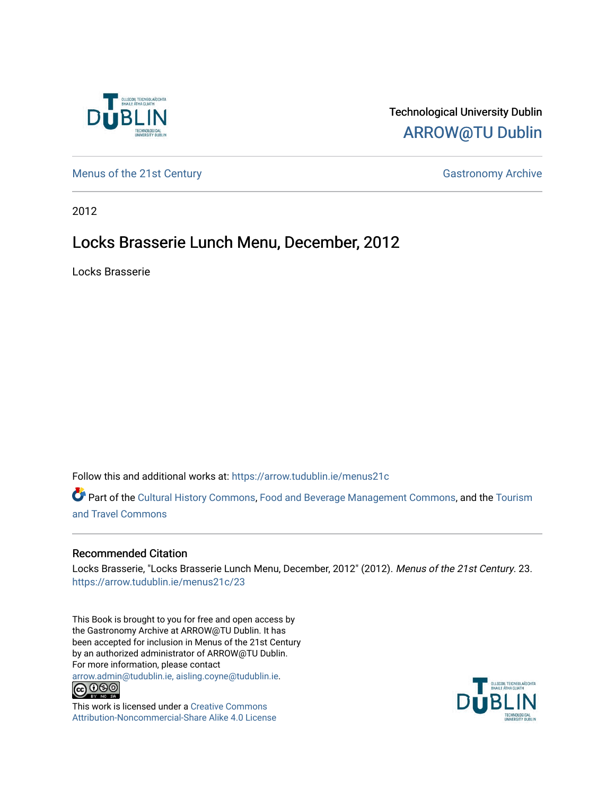

## Technological University Dublin [ARROW@TU Dublin](https://arrow.tudublin.ie/)

[Menus of the 21st Century](https://arrow.tudublin.ie/menus21c) Gastronomy Archive

2012

# Locks Brasserie Lunch Menu, December, 2012

Locks Brasserie

Follow this and additional works at: [https://arrow.tudublin.ie/menus21c](https://arrow.tudublin.ie/menus21c?utm_source=arrow.tudublin.ie%2Fmenus21c%2F23&utm_medium=PDF&utm_campaign=PDFCoverPages) 

Part of the [Cultural History Commons](http://network.bepress.com/hgg/discipline/496?utm_source=arrow.tudublin.ie%2Fmenus21c%2F23&utm_medium=PDF&utm_campaign=PDFCoverPages), [Food and Beverage Management Commons,](http://network.bepress.com/hgg/discipline/1089?utm_source=arrow.tudublin.ie%2Fmenus21c%2F23&utm_medium=PDF&utm_campaign=PDFCoverPages) and the [Tourism](http://network.bepress.com/hgg/discipline/1082?utm_source=arrow.tudublin.ie%2Fmenus21c%2F23&utm_medium=PDF&utm_campaign=PDFCoverPages) [and Travel Commons](http://network.bepress.com/hgg/discipline/1082?utm_source=arrow.tudublin.ie%2Fmenus21c%2F23&utm_medium=PDF&utm_campaign=PDFCoverPages)

### Recommended Citation

Locks Brasserie, "Locks Brasserie Lunch Menu, December, 2012" (2012). Menus of the 21st Century. 23. [https://arrow.tudublin.ie/menus21c/23](https://arrow.tudublin.ie/menus21c/23?utm_source=arrow.tudublin.ie%2Fmenus21c%2F23&utm_medium=PDF&utm_campaign=PDFCoverPages)

This Book is brought to you for free and open access by the Gastronomy Archive at ARROW@TU Dublin. It has been accepted for inclusion in Menus of the 21st Century by an authorized administrator of ARROW@TU Dublin. For more information, please contact

[arrow.admin@tudublin.ie, aisling.coyne@tudublin.ie](mailto:arrow.admin@tudublin.ie,%20aisling.coyne@tudublin.ie).<br>
co 060



This work is licensed under a [Creative Commons](http://creativecommons.org/licenses/by-nc-sa/4.0/) [Attribution-Noncommercial-Share Alike 4.0 License](http://creativecommons.org/licenses/by-nc-sa/4.0/)